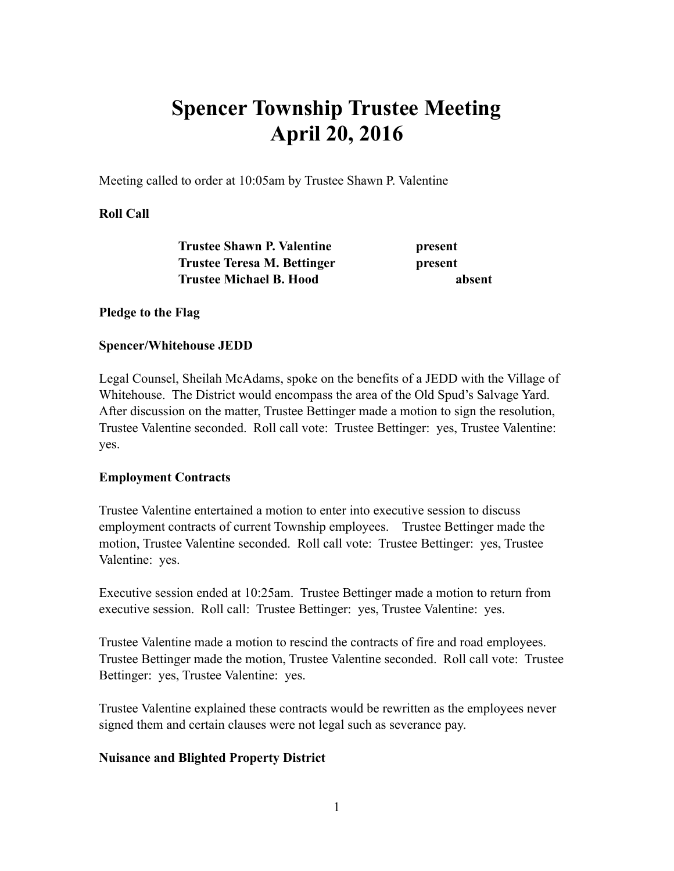# **Spencer Township Trustee Meeting April 20, 2016**

Meeting called to order at 10:05am by Trustee Shawn P. Valentine

### **Roll Call**

| <b>Trustee Shawn P. Valentine</b>  | present |
|------------------------------------|---------|
| <b>Trustee Teresa M. Bettinger</b> | present |
| <b>Trustee Michael B. Hood</b>     | absent  |

### **Pledge to the Flag**

#### **Spencer/Whitehouse JEDD**

Legal Counsel, Sheilah McAdams, spoke on the benefits of a JEDD with the Village of Whitehouse. The District would encompass the area of the Old Spud's Salvage Yard. After discussion on the matter, Trustee Bettinger made a motion to sign the resolution, Trustee Valentine seconded. Roll call vote: Trustee Bettinger: yes, Trustee Valentine: yes.

### **Employment Contracts**

Trustee Valentine entertained a motion to enter into executive session to discuss employment contracts of current Township employees. Trustee Bettinger made the motion, Trustee Valentine seconded. Roll call vote: Trustee Bettinger: yes, Trustee Valentine: yes.

Executive session ended at 10:25am. Trustee Bettinger made a motion to return from executive session. Roll call: Trustee Bettinger: yes, Trustee Valentine: yes.

Trustee Valentine made a motion to rescind the contracts of fire and road employees. Trustee Bettinger made the motion, Trustee Valentine seconded. Roll call vote: Trustee Bettinger: yes, Trustee Valentine: yes.

Trustee Valentine explained these contracts would be rewritten as the employees never signed them and certain clauses were not legal such as severance pay.

### **Nuisance and Blighted Property District**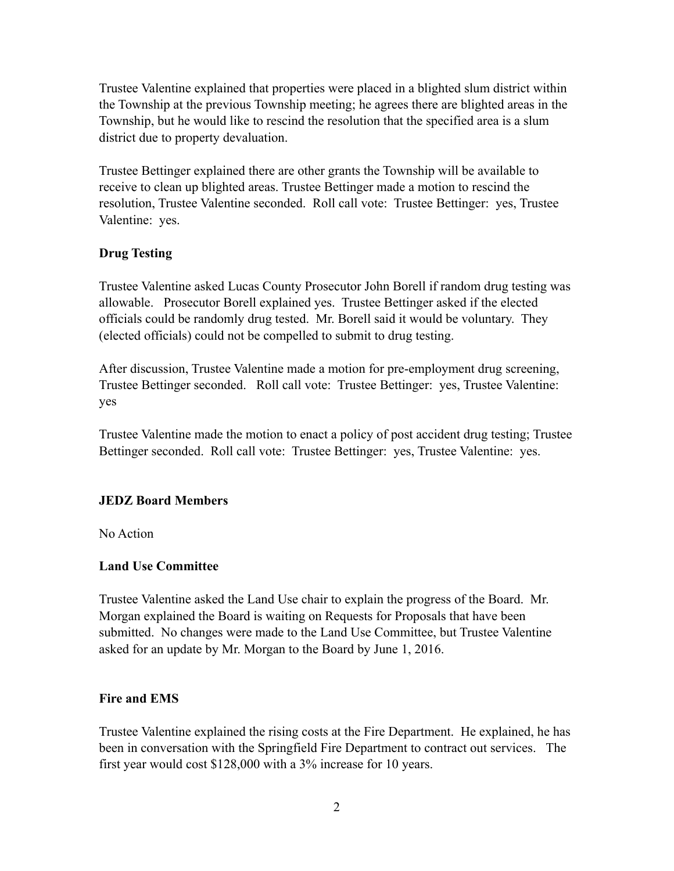Trustee Valentine explained that properties were placed in a blighted slum district within the Township at the previous Township meeting; he agrees there are blighted areas in the Township, but he would like to rescind the resolution that the specified area is a slum district due to property devaluation.

Trustee Bettinger explained there are other grants the Township will be available to receive to clean up blighted areas. Trustee Bettinger made a motion to rescind the resolution, Trustee Valentine seconded. Roll call vote: Trustee Bettinger: yes, Trustee Valentine: yes.

## **Drug Testing**

Trustee Valentine asked Lucas County Prosecutor John Borell if random drug testing was allowable. Prosecutor Borell explained yes. Trustee Bettinger asked if the elected officials could be randomly drug tested. Mr. Borell said it would be voluntary. They (elected officials) could not be compelled to submit to drug testing.

After discussion, Trustee Valentine made a motion for pre-employment drug screening, Trustee Bettinger seconded. Roll call vote: Trustee Bettinger: yes, Trustee Valentine: yes

Trustee Valentine made the motion to enact a policy of post accident drug testing; Trustee Bettinger seconded. Roll call vote: Trustee Bettinger: yes, Trustee Valentine: yes.

## **JEDZ Board Members**

No Action

## **Land Use Committee**

Trustee Valentine asked the Land Use chair to explain the progress of the Board. Mr. Morgan explained the Board is waiting on Requests for Proposals that have been submitted. No changes were made to the Land Use Committee, but Trustee Valentine asked for an update by Mr. Morgan to the Board by June 1, 2016.

## **Fire and EMS**

Trustee Valentine explained the rising costs at the Fire Department. He explained, he has been in conversation with the Springfield Fire Department to contract out services. The first year would cost \$128,000 with a 3% increase for 10 years.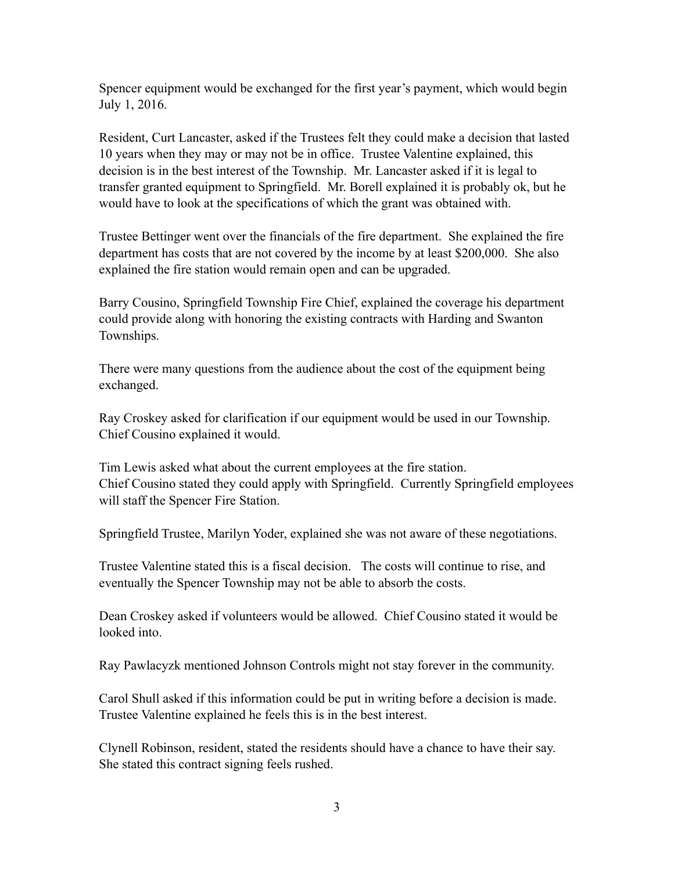Spencer equipment would be exchanged for the first year's payment, which would begin July 1, 2016.

Resident, Curt Lancaster, asked if the Trustees felt they could make a decision that lasted 10 years when they may or may not be in office. Trustee Valentine explained, this decision is in the best interest of the Township. Mr. Lancaster asked if it is legal to transfer granted equipment to Springfield. Mr. Borell explained it is probably ok, but he would have to look at the specifications of which the grant was obtained with.

Trustee Bettinger went over the financials of the fire department. She explained the fire department has costs that are not covered by the income by at least \$200,000. She also explained the fire station would remain open and can be upgraded.

Barry Cousino, Springfield Township Fire Chief, explained the coverage his department could provide along with honoring the existing contracts with Harding and Swanton Townships.

There were many questions from the audience about the cost of the equipment being exchanged.

Ray Croskey asked for clarification if our equipment would be used in our Township. Chief Cousino explained it would.

Tim Lewis asked what about the current employees at the fire station. Chief Cousino stated they could apply with Springfield. Currently Springfield employees will staff the Spencer Fire Station.

Springfield Trustee, Marilyn Yoder, explained she was not aware of these negotiations.

Trustee Valentine stated this is a fiscal decision. The costs will continue to rise, and eventually the Spencer Township may not be able to absorb the costs.

Dean Croskey asked if volunteers would be allowed. Chief Cousino stated it would be looked into.

Ray Pawlacyzk mentioned Johnson Controls might not stay forever in the community.

Carol Shull asked if this information could be put in writing before a decision is made. Trustee Valentine explained he feels this is in the best interest.

Clynell Robinson, resident, stated the residents should have a chance to have their say. She stated this contract signing feels rushed.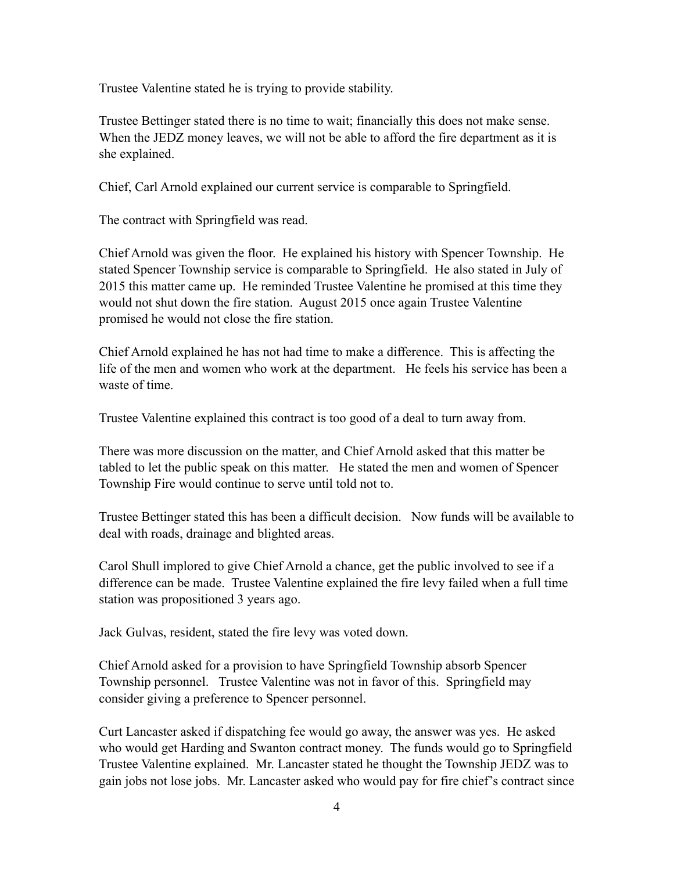Trustee Valentine stated he is trying to provide stability.

Trustee Bettinger stated there is no time to wait; financially this does not make sense. When the JEDZ money leaves, we will not be able to afford the fire department as it is she explained.

Chief, Carl Arnold explained our current service is comparable to Springfield.

The contract with Springfield was read.

Chief Arnold was given the floor. He explained his history with Spencer Township. He stated Spencer Township service is comparable to Springfield. He also stated in July of 2015 this matter came up. He reminded Trustee Valentine he promised at this time they would not shut down the fire station. August 2015 once again Trustee Valentine promised he would not close the fire station.

Chief Arnold explained he has not had time to make a difference. This is affecting the life of the men and women who work at the department. He feels his service has been a waste of time.

Trustee Valentine explained this contract is too good of a deal to turn away from.

There was more discussion on the matter, and Chief Arnold asked that this matter be tabled to let the public speak on this matter. He stated the men and women of Spencer Township Fire would continue to serve until told not to.

Trustee Bettinger stated this has been a difficult decision. Now funds will be available to deal with roads, drainage and blighted areas.

Carol Shull implored to give Chief Arnold a chance, get the public involved to see if a difference can be made. Trustee Valentine explained the fire levy failed when a full time station was propositioned 3 years ago.

Jack Gulvas, resident, stated the fire levy was voted down.

Chief Arnold asked for a provision to have Springfield Township absorb Spencer Township personnel. Trustee Valentine was not in favor of this. Springfield may consider giving a preference to Spencer personnel.

Curt Lancaster asked if dispatching fee would go away, the answer was yes. He asked who would get Harding and Swanton contract money. The funds would go to Springfield Trustee Valentine explained. Mr. Lancaster stated he thought the Township JEDZ was to gain jobs not lose jobs. Mr. Lancaster asked who would pay for fire chief's contract since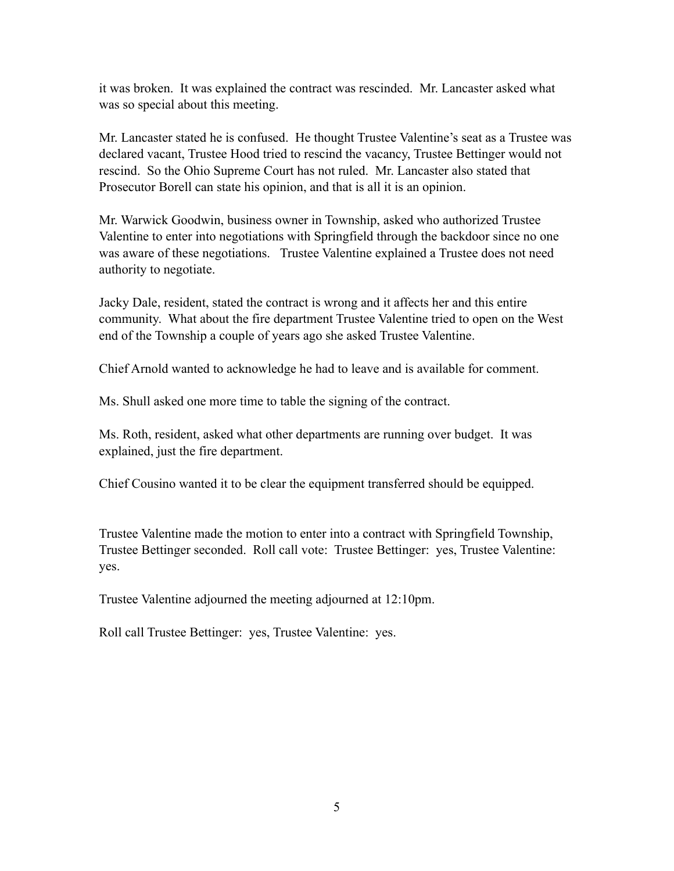it was broken. It was explained the contract was rescinded. Mr. Lancaster asked what was so special about this meeting.

Mr. Lancaster stated he is confused. He thought Trustee Valentine's seat as a Trustee was declared vacant, Trustee Hood tried to rescind the vacancy, Trustee Bettinger would not rescind. So the Ohio Supreme Court has not ruled. Mr. Lancaster also stated that Prosecutor Borell can state his opinion, and that is all it is an opinion.

Mr. Warwick Goodwin, business owner in Township, asked who authorized Trustee Valentine to enter into negotiations with Springfield through the backdoor since no one was aware of these negotiations. Trustee Valentine explained a Trustee does not need authority to negotiate.

Jacky Dale, resident, stated the contract is wrong and it affects her and this entire community. What about the fire department Trustee Valentine tried to open on the West end of the Township a couple of years ago she asked Trustee Valentine.

Chief Arnold wanted to acknowledge he had to leave and is available for comment.

Ms. Shull asked one more time to table the signing of the contract.

Ms. Roth, resident, asked what other departments are running over budget. It was explained, just the fire department.

Chief Cousino wanted it to be clear the equipment transferred should be equipped.

Trustee Valentine made the motion to enter into a contract with Springfield Township, Trustee Bettinger seconded. Roll call vote: Trustee Bettinger: yes, Trustee Valentine: yes.

Trustee Valentine adjourned the meeting adjourned at 12:10pm.

Roll call Trustee Bettinger: yes, Trustee Valentine: yes.